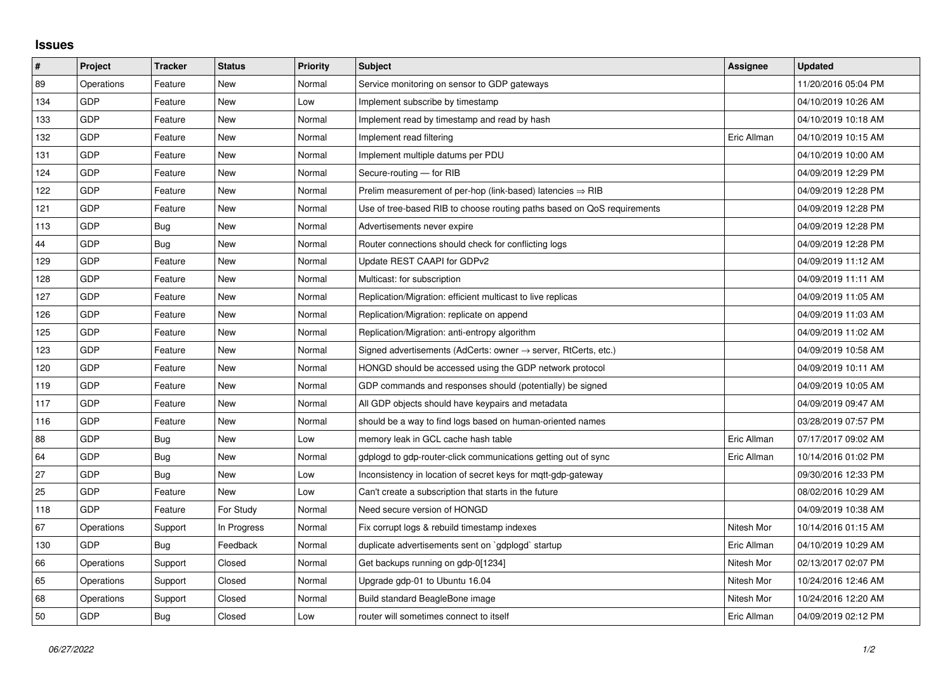## **Issues**

| $\vert$ # | Project    | <b>Tracker</b> | <b>Status</b> | <b>Priority</b> | <b>Subject</b>                                                             | Assignee    | <b>Updated</b>      |
|-----------|------------|----------------|---------------|-----------------|----------------------------------------------------------------------------|-------------|---------------------|
| 89        | Operations | Feature        | <b>New</b>    | Normal          | Service monitoring on sensor to GDP gateways                               |             | 11/20/2016 05:04 PM |
| 134       | GDP        | Feature        | New           | Low             | Implement subscribe by timestamp                                           |             | 04/10/2019 10:26 AM |
| 133       | GDP        | Feature        | New           | Normal          | Implement read by timestamp and read by hash                               |             | 04/10/2019 10:18 AM |
| 132       | GDP        | Feature        | <b>New</b>    | Normal          | Implement read filtering                                                   | Eric Allman | 04/10/2019 10:15 AM |
| 131       | GDP        | Feature        | New           | Normal          | Implement multiple datums per PDU                                          |             | 04/10/2019 10:00 AM |
| 124       | GDP        | Feature        | New           | Normal          | Secure-routing - for RIB                                                   |             | 04/09/2019 12:29 PM |
| 122       | GDP        | Feature        | <b>New</b>    | Normal          | Prelim measurement of per-hop (link-based) latencies $\Rightarrow$ RIB     |             | 04/09/2019 12:28 PM |
| 121       | GDP        | Feature        | New           | Normal          | Use of tree-based RIB to choose routing paths based on QoS requirements    |             | 04/09/2019 12:28 PM |
| 113       | GDP        | <b>Bug</b>     | New           | Normal          | Advertisements never expire                                                |             | 04/09/2019 12:28 PM |
| 44        | GDP        | Bug            | New           | Normal          | Router connections should check for conflicting logs                       |             | 04/09/2019 12:28 PM |
| 129       | GDP        | Feature        | New           | Normal          | Update REST CAAPI for GDPv2                                                |             | 04/09/2019 11:12 AM |
| 128       | GDP        | Feature        | New           | Normal          | Multicast: for subscription                                                |             | 04/09/2019 11:11 AM |
| 127       | GDP        | Feature        | New           | Normal          | Replication/Migration: efficient multicast to live replicas                |             | 04/09/2019 11:05 AM |
| 126       | GDP        | Feature        | New           | Normal          | Replication/Migration: replicate on append                                 |             | 04/09/2019 11:03 AM |
| 125       | GDP        | Feature        | <b>New</b>    | Normal          | Replication/Migration: anti-entropy algorithm                              |             | 04/09/2019 11:02 AM |
| 123       | GDP        | Feature        | New           | Normal          | Signed advertisements (AdCerts: owner $\rightarrow$ server, RtCerts, etc.) |             | 04/09/2019 10:58 AM |
| 120       | GDP        | Feature        | New           | Normal          | HONGD should be accessed using the GDP network protocol                    |             | 04/09/2019 10:11 AM |
| 119       | GDP        | Feature        | New           | Normal          | GDP commands and responses should (potentially) be signed                  |             | 04/09/2019 10:05 AM |
| 117       | GDP        | Feature        | New           | Normal          | All GDP objects should have keypairs and metadata                          |             | 04/09/2019 09:47 AM |
| 116       | GDP        | Feature        | New           | Normal          | should be a way to find logs based on human-oriented names                 |             | 03/28/2019 07:57 PM |
| 88        | GDP        | Bug            | New           | Low             | memory leak in GCL cache hash table                                        | Eric Allman | 07/17/2017 09:02 AM |
| 64        | GDP        | Bug            | New           | Normal          | gdplogd to gdp-router-click communications getting out of sync             | Eric Allman | 10/14/2016 01:02 PM |
| 27        | GDP        | <b>Bug</b>     | <b>New</b>    | Low             | Inconsistency in location of secret keys for mqtt-gdp-gateway              |             | 09/30/2016 12:33 PM |
| 25        | GDP        | Feature        | New           | Low             | Can't create a subscription that starts in the future                      |             | 08/02/2016 10:29 AM |
| 118       | GDP        | Feature        | For Study     | Normal          | Need secure version of HONGD                                               |             | 04/09/2019 10:38 AM |
| 67        | Operations | Support        | In Progress   | Normal          | Fix corrupt logs & rebuild timestamp indexes                               | Nitesh Mor  | 10/14/2016 01:15 AM |
| 130       | GDP        | Bug            | Feedback      | Normal          | duplicate advertisements sent on `gdplogd` startup                         | Eric Allman | 04/10/2019 10:29 AM |
| 66        | Operations | Support        | Closed        | Normal          | Get backups running on gdp-0[1234]                                         | Nitesh Mor  | 02/13/2017 02:07 PM |
| 65        | Operations | Support        | Closed        | Normal          | Upgrade gdp-01 to Ubuntu 16.04                                             | Nitesh Mor  | 10/24/2016 12:46 AM |
| 68        | Operations | Support        | Closed        | Normal          | Build standard BeagleBone image                                            | Nitesh Mor  | 10/24/2016 12:20 AM |
| 50        | GDP        | Bug            | Closed        | Low             | router will sometimes connect to itself                                    | Eric Allman | 04/09/2019 02:12 PM |